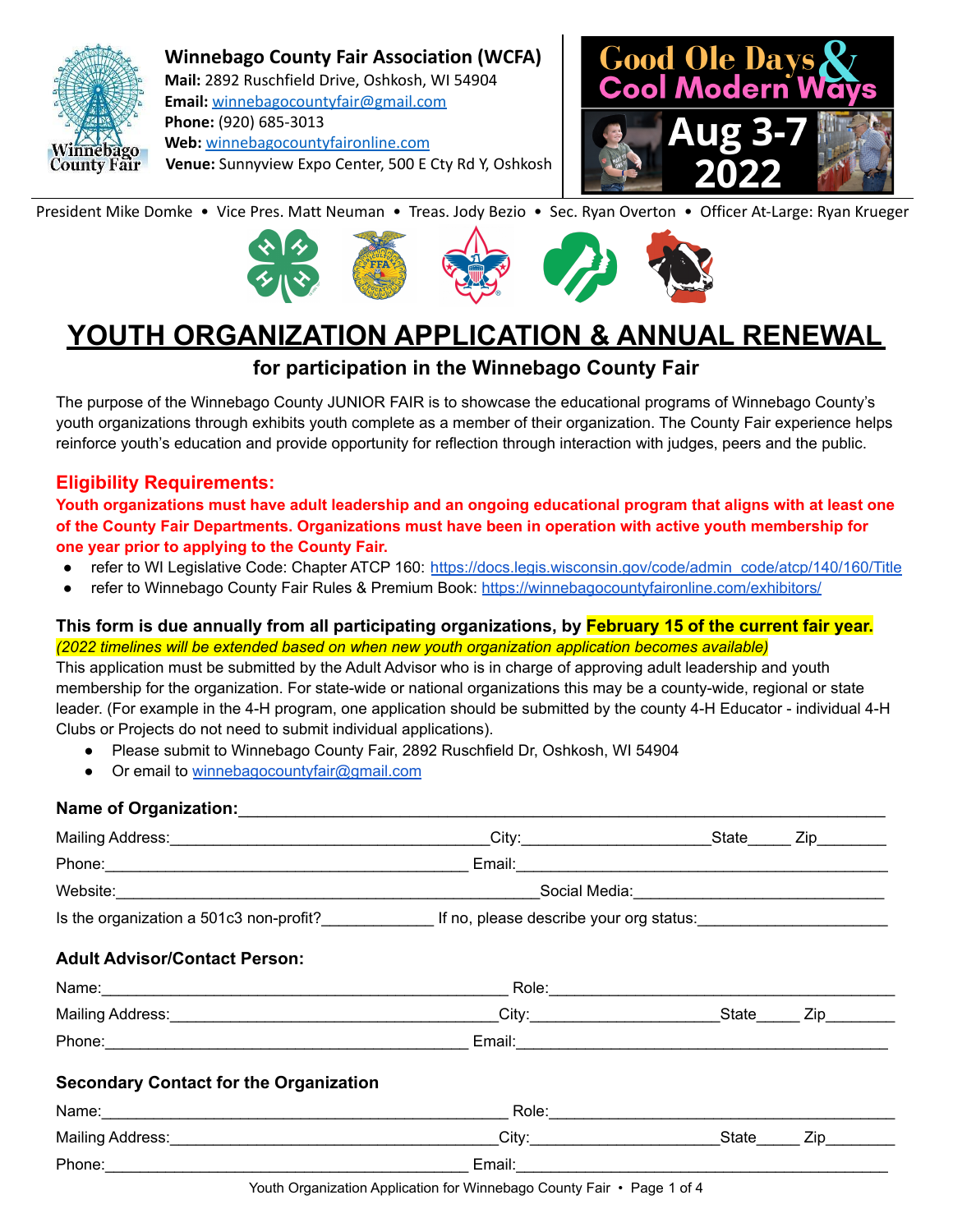

**Winnebago County Fair Association (WCFA) Mail:** 2892 Ruschfield Drive, Oshkosh, WI 54904 **Email:** [winnebagocountyfair@gmail.com](mailto:winnebagocountyfair@gmail.com) **Phone:** (920) 685-3013 **Web:** [winnebagocountyfaironline.com](https://winnebagocountyfaironline.com/) **Venue:** Sunnyview Expo Center, 500 E Cty Rd Y, Oshkosh



President Mike Domke • Vice Pres. Matt Neuman • Treas. Jody Bezio • Sec. Ryan Overton • Officer At-Large: Ryan Krueger



# **YOUTH ORGANIZATION APPLICATION & ANNUAL RENEWAL**

# **for participation in the Winnebago County Fair**

The purpose of the Winnebago County JUNIOR FAIR is to showcase the educational programs of Winnebago County's youth organizations through exhibits youth complete as a member of their organization. The County Fair experience helps reinforce youth's education and provide opportunity for reflection through interaction with judges, peers and the public.

# **Eligibility Requirements:**

Youth organizations must have adult leadership and an ongoing educational program that aligns with at least one **of the County Fair Departments. Organizations must have been in operation with active youth membership for one year prior to applying to the County Fair.**

- refer to WI Legislative Code: Chapter ATCP 160: [https://docs.legis.wisconsin.gov/code/admin\\_code/atcp/140/160/Title](https://docs.legis.wisconsin.gov/code/admin_code/atcp/140/160/Title)
- refer to Winnebago County Fair Rules & Premium Book: [https://winnebagocountyfaironline.com/exhibitors/](https://winnebagocountyfaironline.com/exhibitors/junior-fair/)

# **This form is due annually from all participating organizations, by February 15 of the current fair year.** *(2022 timelines will be extended based on when new youth organization application becomes available)*

This application must be submitted by the Adult Advisor who is in charge of approving adult leadership and youth membership for the organization. For state-wide or national organizations this may be a county-wide, regional or state leader. (For example in the 4-H program, one application should be submitted by the county 4-H Educator - individual 4-H Clubs or Projects do not need to submit individual applications).

- Please submit to Winnebago County Fair, 2892 Ruschfield Dr, Oshkosh, WI 54904
- Or email to [winnebagocountyfair@gmail.com](mailto:winnebagocountyfair@gmail.com)

# **Name of Organization:**

|                                                                                                                                                                                                                                     | Social Media: 2008 - 2009 - 2010 - 2010 - 2010 - 2010 - 2010 - 2010 - 2010 - 2010 - 2010 - 2010 - 2010 - 2010 |     |
|-------------------------------------------------------------------------------------------------------------------------------------------------------------------------------------------------------------------------------------|---------------------------------------------------------------------------------------------------------------|-----|
| Is the organization a 501c3 non-profit? If no, please describe your org status:                                                                                                                                                     |                                                                                                               |     |
| <b>Adult Advisor/Contact Person:</b>                                                                                                                                                                                                |                                                                                                               |     |
|                                                                                                                                                                                                                                     |                                                                                                               |     |
| Mailing Address: <u>National Address:</u> National Address: National Address: National Address: National Address: National Address: National Address: National Address: National Address: National Address: National Address: Natio |                                                                                                               |     |
|                                                                                                                                                                                                                                     |                                                                                                               |     |
| <b>Secondary Contact for the Organization</b>                                                                                                                                                                                       |                                                                                                               |     |
|                                                                                                                                                                                                                                     |                                                                                                               |     |
| Mailing Address: State State State State State State State State State State State State State State State State State State State State State State State State State State State State State State State State State State S      |                                                                                                               | Zip |
| Phone:                                                                                                                                                                                                                              | Email: Email:                                                                                                 |     |

Youth Organization Application for Winnebago County Fair • Page 1 of 4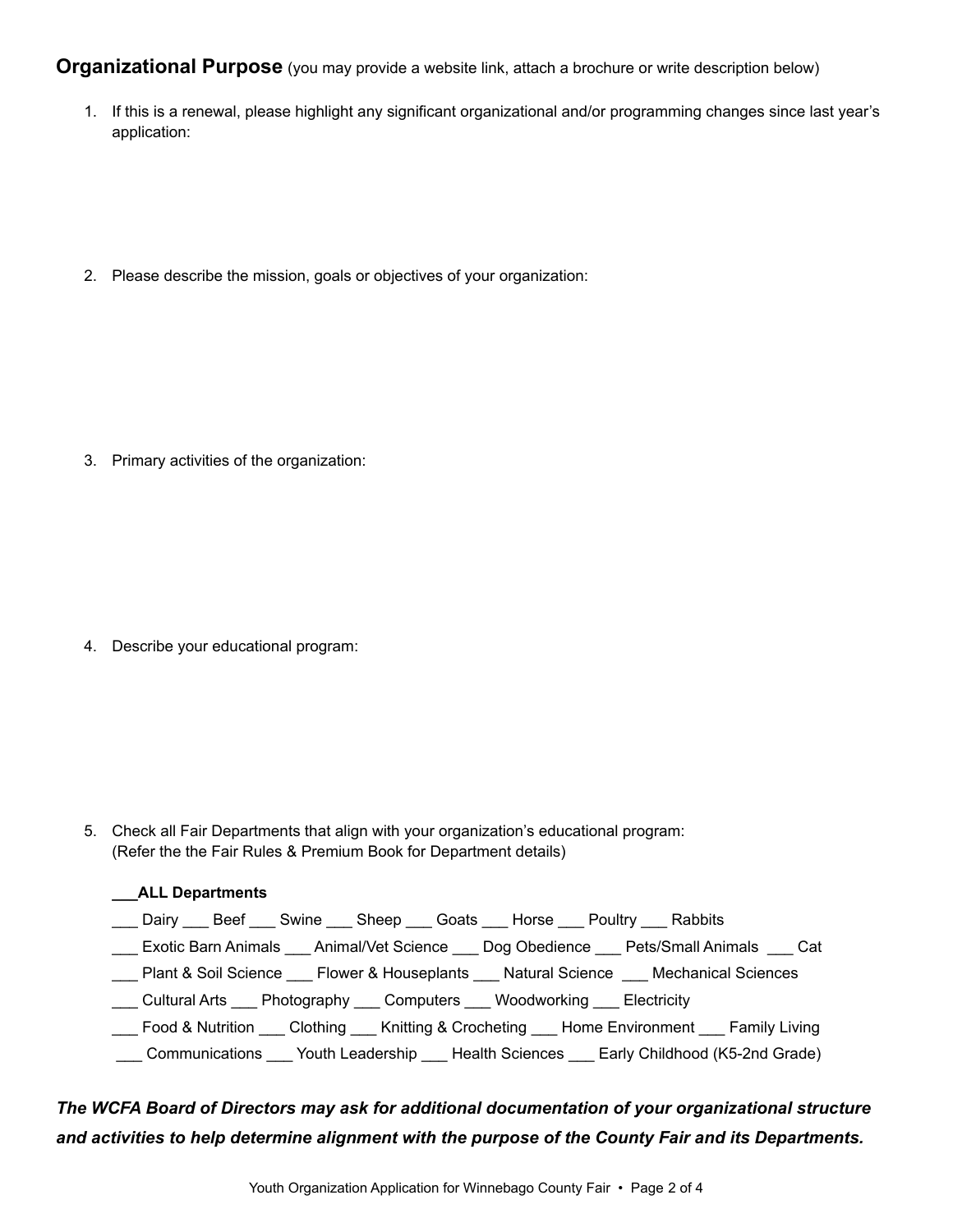**Organizational Purpose** (you may provide a website link, attach a brochure or write description below)

1. If this is a renewal, please highlight any significant organizational and/or programming changes since last year's application:

2. Please describe the mission, goals or objectives of your organization:

3. Primary activities of the organization:

4. Describe your educational program:

5. Check all Fair Departments that align with your organization's educational program: (Refer the the Fair Rules & Premium Book for Department details)

# **\_\_\_ALL Departments**

- Dairy Beef Swine Sheep Goats Horse Poultry Rabbits
- \_\_\_ Exotic Barn Animals \_\_\_ Animal/Vet Science \_\_\_ Dog Obedience \_\_\_ Pets/Small Animals \_\_\_ Cat
- \_\_\_ Plant & Soil Science \_\_\_ Flower & Houseplants \_\_\_ Natural Science \_\_\_ Mechanical Sciences
- \_\_\_ Cultural Arts \_\_\_ Photography \_\_\_ Computers \_\_\_ Woodworking \_\_\_ Electricity
- \_\_\_ Food & Nutrition \_\_\_ Clothing \_\_\_ Knitting & Crocheting \_\_\_ Home Environment \_\_\_ Family Living
- \_\_\_ Communications \_\_\_ Youth Leadership \_\_\_ Health Sciences \_\_\_ Early Childhood (K5-2nd Grade)

# *The WCFA Board of Directors may ask for additional documentation of your organizational structure and activities to help determine alignment with the purpose of the County Fair and its Departments.*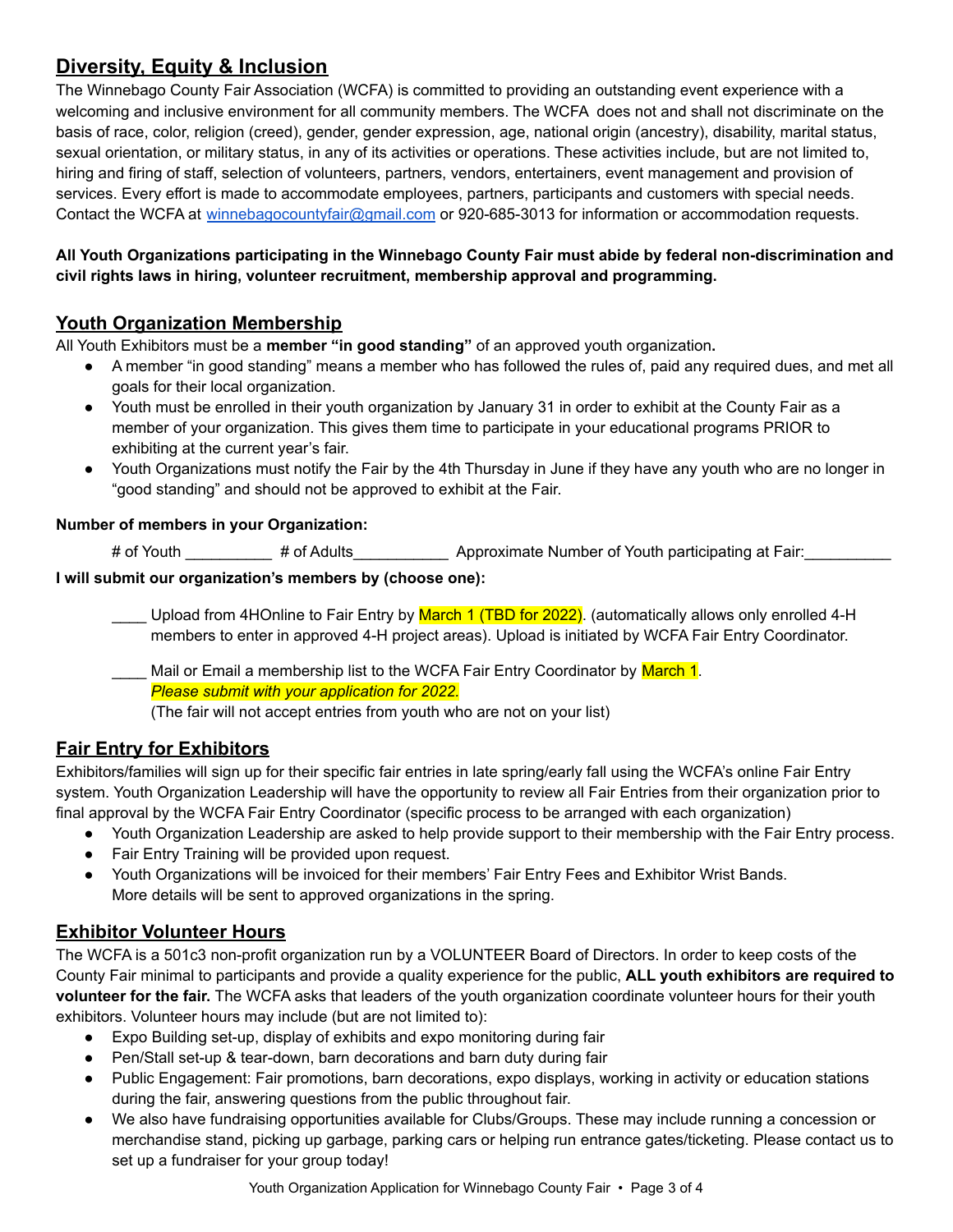# **Diversity, Equity & Inclusion**

The Winnebago County Fair Association (WCFA) is committed to providing an outstanding event experience with a welcoming and inclusive environment for all community members. The WCFA does not and shall not discriminate on the basis of race, color, religion (creed), gender, gender expression, age, national origin (ancestry), disability, marital status, sexual orientation, or military status, in any of its activities or operations. These activities include, but are not limited to, hiring and firing of staff, selection of volunteers, partners, vendors, entertainers, event management and provision of services. Every effort is made to accommodate employees, partners, participants and customers with special needs. Contact the WCFA at [winnebagocountyfair@gmail.com](mailto:winnebagocountyfair@gmail.com) or 920-685-3013 for information or accommodation requests.

## **All Youth Organizations participating in the Winnebago County Fair must abide by federal non-discrimination and civil rights laws in hiring, volunteer recruitment, membership approval and programming.**

# **Youth Organization Membership**

All Youth Exhibitors must be a **member "in good standing"** of an approved youth organization**.**

- A member "in good standing" means a member who has followed the rules of, paid any required dues, and met all goals for their local organization.
- Youth must be enrolled in their youth organization by January 31 in order to exhibit at the County Fair as a member of your organization. This gives them time to participate in your educational programs PRIOR to exhibiting at the current year's fair.
- Youth Organizations must notify the Fair by the 4th Thursday in June if they have any youth who are no longer in "good standing" and should not be approved to exhibit at the Fair.

#### **Number of members in your Organization:**

# of Youth  $\#$  of Adults Approximate Number of Youth participating at Fair:

#### **I will submit our organization's members by (choose one):**

Upload from 4HOnline to Fair Entry by March 1 (TBD for 2022). (automatically allows only enrolled 4-H members to enter in approved 4-H project areas). Upload is initiated by WCFA Fair Entry Coordinator.

Mail or Email a membership list to the WCFA Fair Entry Coordinator by March 1. *Please submit with your application for 2022.* (The fair will not accept entries from youth who are not on your list)

# **Fair Entry for Exhibitors**

Exhibitors/families will sign up for their specific fair entries in late spring/early fall using the WCFA's online Fair Entry system. Youth Organization Leadership will have the opportunity to review all Fair Entries from their organization prior to final approval by the WCFA Fair Entry Coordinator (specific process to be arranged with each organization)

- Youth Organization Leadership are asked to help provide support to their membership with the Fair Entry process.
- **Fair Entry Training will be provided upon request.**
- Youth Organizations will be invoiced for their members' Fair Entry Fees and Exhibitor Wrist Bands. More details will be sent to approved organizations in the spring.

# **Exhibitor Volunteer Hours**

The WCFA is a 501c3 non-profit organization run by a VOLUNTEER Board of Directors. In order to keep costs of the County Fair minimal to participants and provide a quality experience for the public, **ALL youth exhibitors are required to volunteer for the fair.** The WCFA asks that leaders of the youth organization coordinate volunteer hours for their youth exhibitors. Volunteer hours may include (but are not limited to):

- Expo Building set-up, display of exhibits and expo monitoring during fair
- Pen/Stall set-up & tear-down, barn decorations and barn duty during fair
- Public Engagement: Fair promotions, barn decorations, expo displays, working in activity or education stations during the fair, answering questions from the public throughout fair.
- We also have fundraising opportunities available for Clubs/Groups. These may include running a concession or merchandise stand, picking up garbage, parking cars or helping run entrance gates/ticketing. Please contact us to set up a fundraiser for your group today!